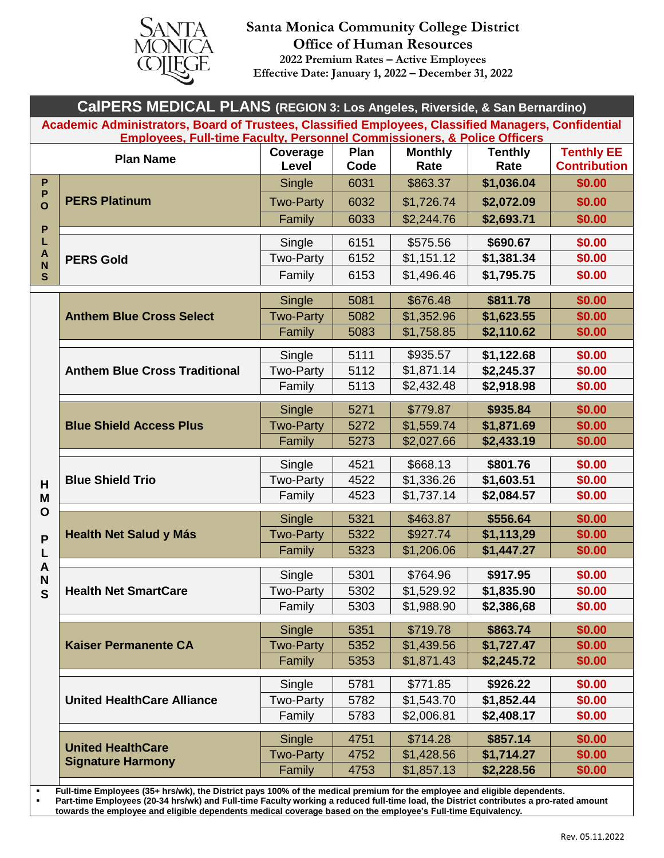

## **Santa Monica Community College District Office of Human Resources 2022 Premium Rates – Active Employees Effective Date: January 1, 2022 – December 31, 2022**

| CalPERS MEDICAL PLANS (REGION 3: Los Angeles, Riverside, & San Bernardino)                                                                                                                 |                                                      |                            |              |                          |                        |                                          |
|--------------------------------------------------------------------------------------------------------------------------------------------------------------------------------------------|------------------------------------------------------|----------------------------|--------------|--------------------------|------------------------|------------------------------------------|
| Academic Administrators, Board of Trustees, Classified Employees, Classified Managers, Confidential<br><b>Employees, Full-time Faculty, Personnel Commissioners, &amp; Police Officers</b> |                                                      |                            |              |                          |                        |                                          |
| <b>Plan Name</b>                                                                                                                                                                           |                                                      | Coverage<br>Level          | Plan<br>Code | <b>Monthly</b><br>Rate   | <b>Tenthly</b><br>Rate | <b>Tenthly EE</b><br><b>Contribution</b> |
| P<br>P<br>$\overline{O}$<br>$\boldsymbol{\mathsf{P}}$<br>L                                                                                                                                 | <b>PERS Platinum</b>                                 | Single                     | 6031         | \$863.37                 | \$1,036.04             | \$0.00                                   |
|                                                                                                                                                                                            |                                                      | <b>Two-Party</b>           | 6032         | \$1,726.74               | \$2,072.09             | \$0.00                                   |
|                                                                                                                                                                                            |                                                      | Family                     | 6033         | \$2,244.76               | \$2,693.71             | \$0.00                                   |
|                                                                                                                                                                                            | <b>PERS Gold</b>                                     | Single                     | 6151         | \$575.56                 | \$690.67               | \$0.00                                   |
| A                                                                                                                                                                                          |                                                      | <b>Two-Party</b>           | 6152         | \$1,151.12               | \$1,381.34             | \$0.00                                   |
| N<br>$\mathbf{s}$                                                                                                                                                                          |                                                      | Family                     | 6153         | \$1,496.46               | \$1,795.75             | \$0.00                                   |
|                                                                                                                                                                                            | <b>Anthem Blue Cross Select</b>                      | Single                     | 5081         | \$676.48                 | \$811.78               | \$0.00                                   |
|                                                                                                                                                                                            |                                                      | <b>Two-Party</b>           | 5082         | \$1,352.96               | \$1,623.55             | \$0.00                                   |
|                                                                                                                                                                                            |                                                      | Family                     | 5083         | \$1,758.85               | \$2,110.62             | \$0.00                                   |
|                                                                                                                                                                                            |                                                      | Single                     | 5111         | \$935.57                 | \$1,122.68             | \$0.00                                   |
|                                                                                                                                                                                            | <b>Anthem Blue Cross Traditional</b>                 | <b>Two-Party</b>           | 5112         | \$1,871.14               | \$2,245.37             | \$0.00                                   |
|                                                                                                                                                                                            |                                                      | Family                     | 5113         | \$2,432.48               | \$2,918.98             | \$0.00                                   |
|                                                                                                                                                                                            |                                                      |                            |              |                          |                        |                                          |
|                                                                                                                                                                                            |                                                      | Single                     | 5271         | \$779.87                 | \$935.84               | \$0.00                                   |
|                                                                                                                                                                                            | <b>Blue Shield Access Plus</b>                       | <b>Two-Party</b>           | 5272         | \$1,559.74               | \$1,871.69             | \$0.00                                   |
|                                                                                                                                                                                            |                                                      | Family                     | 5273         | \$2,027.66               | \$2,433.19             | \$0.00                                   |
|                                                                                                                                                                                            | <b>Blue Shield Trio</b>                              | Single                     | 4521         | \$668.13                 | \$801.76               | \$0.00                                   |
| H                                                                                                                                                                                          |                                                      | <b>Two-Party</b>           | 4522         | \$1,336.26               | \$1,603.51             | \$0.00                                   |
| M                                                                                                                                                                                          |                                                      | Family                     | 4523         | \$1,737.14               | \$2,084.57             | \$0.00                                   |
| O                                                                                                                                                                                          | <b>Health Net Salud y Más</b>                        | Single                     | 5321         | \$463.87                 | \$556.64               | \$0.00                                   |
| P                                                                                                                                                                                          |                                                      | <b>Two-Party</b>           | 5322         | \$927.74                 | \$1,113,29             | \$0.00                                   |
|                                                                                                                                                                                            |                                                      | Family                     | 5323         | \$1,206.06               | \$1,447.27             | \$0.00                                   |
| A<br>N                                                                                                                                                                                     | <b>Health Net SmartCare</b>                          | Single                     | 5301         | \$764.96                 | \$917.95               | \$0.00                                   |
| $\mathbf S$                                                                                                                                                                                |                                                      | <b>Two-Party</b>           | 5302         | \$1,529.92               | \$1,835.90             | \$0.00                                   |
|                                                                                                                                                                                            |                                                      | Family                     | 5303         | \$1,988.90               | \$2,386,68             | \$0.00                                   |
|                                                                                                                                                                                            |                                                      | <b>Single</b>              | 5351         | \$719.78                 | \$863.74               | \$0.00                                   |
|                                                                                                                                                                                            | <b>Kaiser Permanente CA</b>                          | <b>Two-Party</b>           | 5352         | \$1,439.56               | \$1,727.47             | \$0.00                                   |
|                                                                                                                                                                                            |                                                      | Family                     | 5353         | \$1,871.43               | \$2,245.72             | \$0.00                                   |
|                                                                                                                                                                                            | <b>United HealthCare Alliance</b>                    | Single                     | 5781         | \$771.85                 | \$926.22               | \$0.00                                   |
|                                                                                                                                                                                            |                                                      | Two-Party                  | 5782         | \$1,543.70               | \$1,852.44             | \$0.00                                   |
|                                                                                                                                                                                            |                                                      | Family                     | 5783         | \$2,006.81               | \$2,408.17             | \$0.00                                   |
|                                                                                                                                                                                            |                                                      |                            |              |                          |                        |                                          |
|                                                                                                                                                                                            | <b>United HealthCare</b><br><b>Signature Harmony</b> | Single<br><b>Two-Party</b> | 4751<br>4752 | \$714.28                 | \$857.14<br>\$1,714.27 | \$0.00<br>\$0.00                         |
|                                                                                                                                                                                            |                                                      | Family                     | 4753         | \$1,428.56<br>\$1,857.13 | \$2,228.56             | \$0.00                                   |
|                                                                                                                                                                                            |                                                      |                            |              |                          |                        |                                          |

▪ **Full-time Employees (35+ hrs/wk), the District pays 100% of the medical premium for the employee and eligible dependents. Part-time Employees (20-34 hrs/wk) and Full-time Faculty working a reduced full-time load, the District contributes a pro-rated amount towards the employee and eligible dependents medical coverage based on the employee's Full-time Equivalency.**